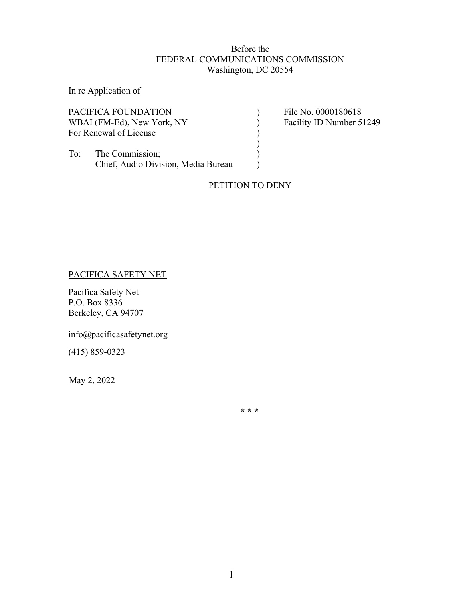# Before the FEDERAL COMMUNICATIONS COMMISSION Washington, DC 20554

In re Application of

| File No. 0000180618                 |
|-------------------------------------|
| Facility ID Number 51249            |
|                                     |
|                                     |
|                                     |
|                                     |
| Chief, Audio Division, Media Bureau |

# PETITION TO DENY

# PACIFICA SAFETY NET

Pacifica Safety Net P.O. Box 8336 Berkeley, CA 94707

info@pacificasafetynet.org

(415) 859-0323

May 2, 2022

**\* \* \***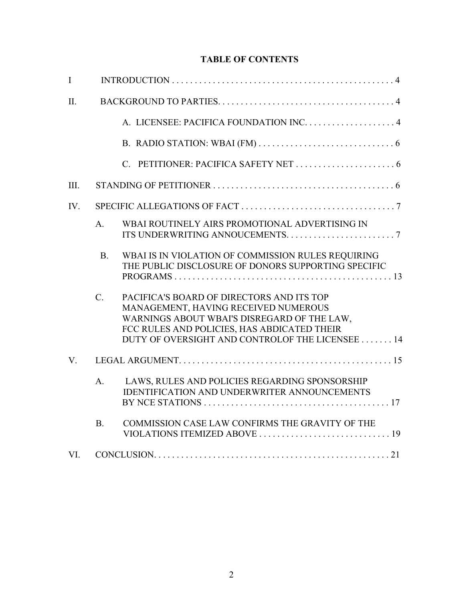# **TABLE OF CONTENTS**

| $\mathbf I$  |                |                                                                                                                                                                                                                                    |
|--------------|----------------|------------------------------------------------------------------------------------------------------------------------------------------------------------------------------------------------------------------------------------|
| II.          |                |                                                                                                                                                                                                                                    |
|              |                |                                                                                                                                                                                                                                    |
|              |                |                                                                                                                                                                                                                                    |
|              |                |                                                                                                                                                                                                                                    |
| Ш.           |                |                                                                                                                                                                                                                                    |
| $IV_{\cdot}$ |                |                                                                                                                                                                                                                                    |
|              | $A_{\cdot}$    | WBAI ROUTINELY AIRS PROMOTIONAL ADVERTISING IN                                                                                                                                                                                     |
|              | B <sub>1</sub> | WBAI IS IN VIOLATION OF COMMISSION RULES REQUIRING<br>THE PUBLIC DISCLOSURE OF DONORS SUPPORTING SPECIFIC                                                                                                                          |
|              | $C_{\cdot}$    | PACIFICA'S BOARD OF DIRECTORS AND ITS TOP<br>MANAGEMENT, HAVING RECEIVED NUMEROUS<br>WARNINGS ABOUT WBAI'S DISREGARD OF THE LAW,<br>FCC RULES AND POLICIES, HAS ABDICATED THEIR<br>DUTY OF OVERSIGHT AND CONTROLOF THE LICENSEE 14 |
| $V_{\cdot}$  |                |                                                                                                                                                                                                                                    |
|              | A <sub>1</sub> | LAWS, RULES AND POLICIES REGARDING SPONSORSHIP<br><b>IDENTIFICATION AND UNDERWRITER ANNOUNCEMENTS</b>                                                                                                                              |
|              | B <sub>1</sub> | COMMISSION CASE LAW CONFIRMS THE GRAVITY OF THE                                                                                                                                                                                    |
| VI.          |                |                                                                                                                                                                                                                                    |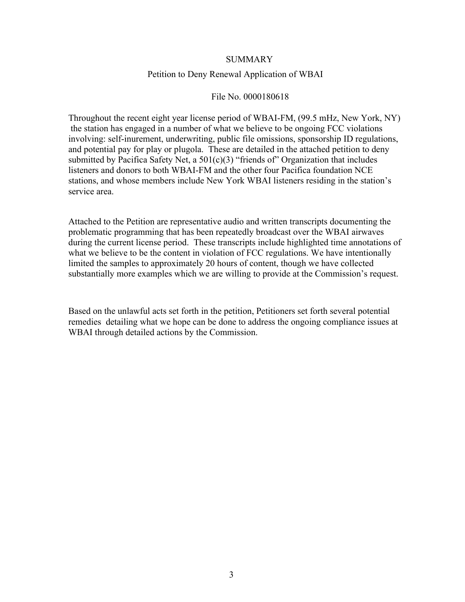### SUMMARY

#### Petition to Deny Renewal Application of WBAI

#### File No. 0000180618

Throughout the recent eight year license period of WBAI-FM, (99.5 mHz, New York, NY) the station has engaged in a number of what we believe to be ongoing FCC violations involving: self-inurement, underwriting, public file omissions, sponsorship ID regulations, and potential pay for play or plugola. These are detailed in the attached petition to deny submitted by Pacifica Safety Net, a  $501(c)(3)$  "friends of" Organization that includes listeners and donors to both WBAI-FM and the other four Pacifica foundation NCE stations, and whose members include New York WBAI listeners residing in the station's service area.

Attached to the Petition are representative audio and written transcripts documenting the problematic programming that has been repeatedly broadcast over the WBAI airwaves during the current license period. These transcripts include highlighted time annotations of what we believe to be the content in violation of FCC regulations. We have intentionally limited the samples to approximately 20 hours of content, though we have collected substantially more examples which we are willing to provide at the Commission's request.

Based on the unlawful acts set forth in the petition, Petitioners set forth several potential remedies detailing what we hope can be done to address the ongoing compliance issues at WBAI through detailed actions by the Commission.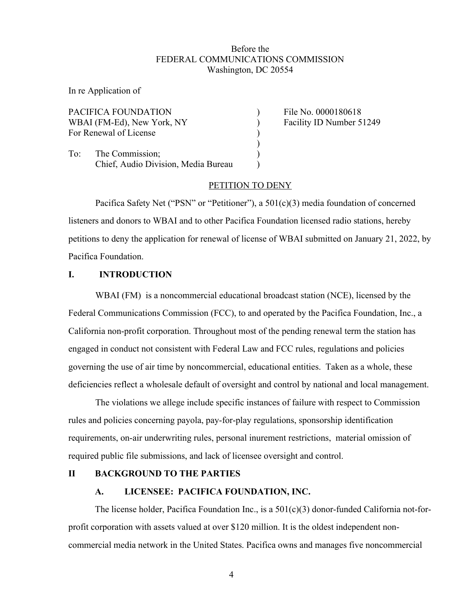### Before the FEDERAL COMMUNICATIONS COMMISSION Washington, DC 20554

In re Application of

|     | PACIFICA FOUNDATION                 | File No. 0000180618      |
|-----|-------------------------------------|--------------------------|
|     | WBAI (FM-Ed), New York, NY          | Facility ID Number 51249 |
|     | For Renewal of License              |                          |
| To: | The Commission;                     |                          |
|     | Chief, Audio Division, Media Bureau |                          |
|     |                                     |                          |

### PETITION TO DENY

Pacifica Safety Net ("PSN" or "Petitioner"), a 501(c)(3) media foundation of concerned listeners and donors to WBAI and to other Pacifica Foundation licensed radio stations, hereby petitions to deny the application for renewal of license of WBAI submitted on January 21, 2022, by Pacifica Foundation.

#### **I. INTRODUCTION**

WBAI (FM) is a noncommercial educational broadcast station (NCE), licensed by the Federal Communications Commission (FCC), to and operated by the Pacifica Foundation, Inc., a California non-profit corporation. Throughout most of the pending renewal term the station has engaged in conduct not consistent with Federal Law and FCC rules, regulations and policies governing the use of air time by noncommercial, educational entities. Taken as a whole, these deficiencies reflect a wholesale default of oversight and control by national and local management.

The violations we allege include specific instances of failure with respect to Commission rules and policies concerning payola, pay-for-play regulations, sponsorship identification requirements, on-air underwriting rules, personal inurement restrictions, material omission of required public file submissions, and lack of licensee oversight and control.

### **II BACKGROUND TO THE PARTIES**

### **A. LICENSEE: PACIFICA FOUNDATION, INC.**

The license holder, Pacifica Foundation Inc., is a 501(c)(3) donor-funded California not-forprofit corporation with assets valued at over \$120 million. It is the oldest independent noncommercial media network in the United States. Pacifica owns and manages five noncommercial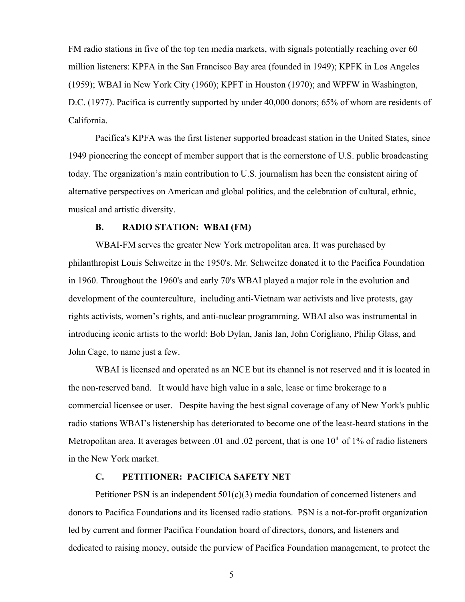FM radio stations in five of the top ten media markets, with signals potentially reaching over 60 million listeners: KPFA in the San Francisco Bay area (founded in 1949); KPFK in Los Angeles (1959); WBAI in New York City (1960); KPFT in Houston (1970); and WPFW in Washington, D.C. (1977). Pacifica is currently supported by under 40,000 donors; 65% of whom are residents of California.

Pacifica's KPFA was the first listener supported broadcast station in the United States, since 1949 pioneering the concept of member support that is the cornerstone of U.S. public broadcasting today. The organization's main contribution to U.S. journalism has been the consistent airing of alternative perspectives on American and global politics, and the celebration of cultural, ethnic, musical and artistic diversity.

#### **B. RADIO STATION: WBAI (FM)**

WBAI-FM serves the greater New York metropolitan area. It was purchased by philanthropist Louis Schweitze in the 1950's. Mr. Schweitze donated it to the Pacifica Foundation in 1960. Throughout the 1960's and early 70's WBAI played a major role in the evolution and development of the counterculture, including anti-Vietnam war activists and live protests, gay rights activists, women's rights, and anti-nuclear programming. WBAI also was instrumental in introducing iconic artists to the world: Bob Dylan, Janis Ian, John Corigliano, Philip Glass, and John Cage, to name just a few.

WBAI is licensed and operated as an NCE but its channel is not reserved and it is located in the non-reserved band. It would have high value in a sale, lease or time brokerage to a commercial licensee or user. Despite having the best signal coverage of any of New York's public radio stations WBAI's listenership has deteriorated to become one of the least-heard stations in the Metropolitan area. It averages between .01 and .02 percent, that is one  $10<sup>th</sup>$  of  $1\%$  of radio listeners in the New York market.

# **C. PETITIONER: PACIFICA SAFETY NET**

Petitioner PSN is an independent 501(c)(3) media foundation of concerned listeners and donors to Pacifica Foundations and its licensed radio stations. PSN is a not-for-profit organization led by current and former Pacifica Foundation board of directors, donors, and listeners and dedicated to raising money, outside the purview of Pacifica Foundation management, to protect the

5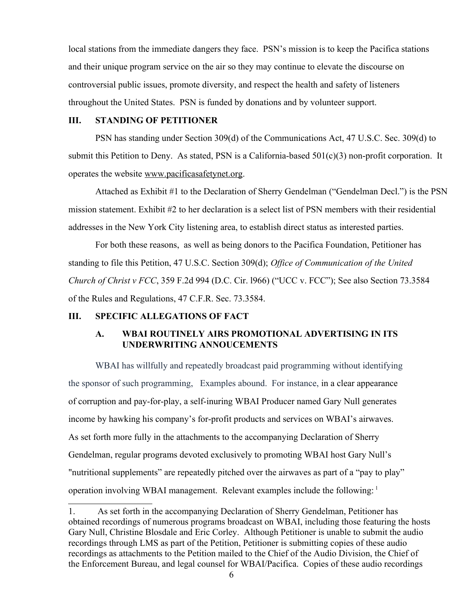local stations from the immediate dangers they face. PSN's mission is to keep the Pacifica stations and their unique program service on the air so they may continue to elevate the discourse on controversial public issues, promote diversity, and respect the health and safety of listeners throughout the United States. PSN is funded by donations and by volunteer support.

### **III. STANDING OF PETITIONER**

PSN has standing under Section 309(d) of the Communications Act, 47 U.S.C. Sec. 309(d) to submit this Petition to Deny. As stated, PSN is a California-based  $501(c)(3)$  non-profit corporation. It operates the website [www.pacificasafetynet.org.](http://www.pacificasafetynet.org/)

Attached as Exhibit #1 to the Declaration of Sherry Gendelman ("Gendelman Decl.") is the PSN mission statement. Exhibit #2 to her declaration is a select list of PSN members with their residential addresses in the New York City listening area, to establish direct status as interested parties.

For both these reasons, as well as being donors to the Pacifica Foundation, Petitioner has standing to file this Petition, 47 U.S.C. Section 309(d); *Office of Communication of the United Church of Christ v FCC*, 359 F.2d 994 (D.C. Cir. l966) ("UCC v. FCC"); See also Section 73.3584 of the Rules and Regulations, 47 C.F.R. Sec. 73.3584.

#### **III. SPECIFIC ALLEGATIONS OF FACT**

# **A. WBAI ROUTINELY AIRS PROMOTIONAL ADVERTISING IN ITS UNDERWRITING ANNOUCEMENTS**

WBAI has willfully and repeatedly broadcast paid programming without identifying the sponsor of such programming, Examples abound. For instance, in a clear appearance of corruption and pay-for-play, a self-inuring WBAI Producer named Gary Null generates income by hawking his company's for-profit products and services on WBAI's airwaves. As set forth more fully in the attachments to the accompanying Declaration of Sherry Gendelman, regular programs devoted exclusively to promoting WBAI host Gary Null's "nutritional supplements" are repeatedly pitched over the airwaves as part of a "pay to play" operation involving WBAI management. Relevant examples include the following: [1](#page-5-0)

<span id="page-5-0"></span><sup>1.</sup> As set forth in the accompanying Declaration of Sherry Gendelman, Petitioner has obtained recordings of numerous programs broadcast on WBAI, including those featuring the hosts Gary Null, Christine Blosdale and Eric Corley. Although Petitioner is unable to submit the audio recordings through LMS as part of the Petition, Petitioner is submitting copies of these audio recordings as attachments to the Petition mailed to the Chief of the Audio Division, the Chief of the Enforcement Bureau, and legal counsel for WBAI/Pacifica. Copies of these audio recordings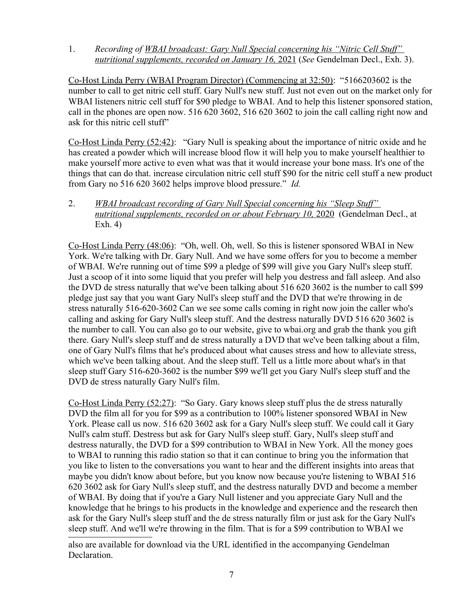1. *Recording of WBAI broadcast: Gary Null Special concerning his "Nitric Cell Stuff" nutritional supplements, recorded on January 16,* 2021 (*See* Gendelman Decl., Exh. 3).

Co-Host Linda Perry (WBAI Program Director) (Commencing at 32:50): "5166203602 is the number to call to get nitric cell stuff. Gary Null's new stuff. Just not even out on the market only for WBAI listeners nitric cell stuff for \$90 pledge to WBAI. And to help this listener sponsored station, call in the phones are open now. 516 620 3602, 516 620 3602 to join the call calling right now and ask for this nitric cell stuff"

Co-Host Linda Perry (52:42): "Gary Null is speaking about the importance of nitric oxide and he has created a powder which will increase blood flow it will help you to make yourself healthier to make yourself more active to even what was that it would increase your bone mass. It's one of the things that can do that. increase circulation nitric cell stuff \$90 for the nitric cell stuff a new product from Gary no 516 620 3602 helps improve blood pressure." *Id.*

2. *WBAI broadcast recording of Gary Null Special concerning his "Sleep Stuff" nutritional supplements, recorded on or about February 10, 2020* (Gendelman Decl., at Exh. 4)

Co-Host Linda Perry (48:06): "Oh, well. Oh, well. So this is listener sponsored WBAI in New York. We're talking with Dr. Gary Null. And we have some offers for you to become a member of WBAI. We're running out of time \$99 a pledge of \$99 will give you Gary Null's sleep stuff. Just a scoop of it into some liquid that you prefer will help you destress and fall asleep. And also the DVD de stress naturally that we've been talking about 516 620 3602 is the number to call \$99 pledge just say that you want Gary Null's sleep stuff and the DVD that we're throwing in de stress naturally 516-620-3602 Can we see some calls coming in right now join the caller who's calling and asking for Gary Null's sleep stuff. And the destress naturally DVD 516 620 3602 is the number to call. You can also go to our website, give to wbai.org and grab the thank you gift there. Gary Null's sleep stuff and de stress naturally a DVD that we've been talking about a film, one of Gary Null's films that he's produced about what causes stress and how to alleviate stress, which we've been talking about. And the sleep stuff. Tell us a little more about what's in that sleep stuff Gary 516-620-3602 is the number \$99 we'll get you Gary Null's sleep stuff and the DVD de stress naturally Gary Null's film.

Co-Host Linda Perry (52:27): "So Gary. Gary knows sleep stuff plus the de stress naturally DVD the film all for you for \$99 as a contribution to 100% listener sponsored WBAI in New York. Please call us now. 516 620 3602 ask for a Gary Null's sleep stuff. We could call it Gary Null's calm stuff. Destress but ask for Gary Null's sleep stuff. Gary, Null's sleep stuff and destress naturally, the DVD for a \$99 contribution to WBAI in New York. All the money goes to WBAI to running this radio station so that it can continue to bring you the information that you like to listen to the conversations you want to hear and the different insights into areas that maybe you didn't know about before, but you know now because you're listening to WBAI 516 620 3602 ask for Gary Null's sleep stuff, and the destress naturally DVD and become a member of WBAI. By doing that if you're a Gary Null listener and you appreciate Gary Null and the knowledge that he brings to his products in the knowledge and experience and the research then ask for the Gary Null's sleep stuff and the de stress naturally film or just ask for the Gary Null's sleep stuff. And we'll we're throwing in the film. That is for a \$99 contribution to WBAI we

also are available for download via the URL identified in the accompanying Gendelman Declaration.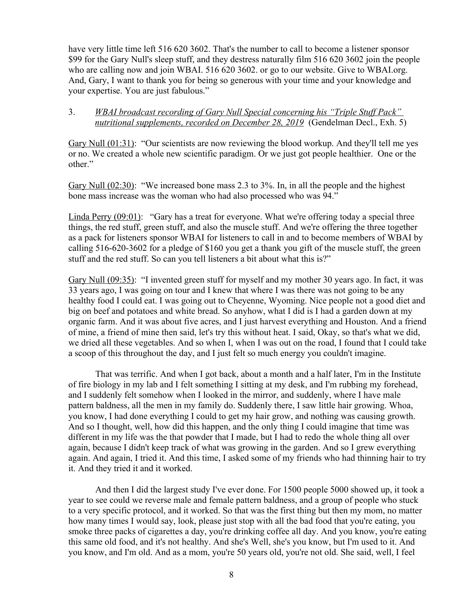have very little time left 516 620 3602. That's the number to call to become a listener sponsor \$99 for the Gary Null's sleep stuff, and they destress naturally film 516 620 3602 join the people who are calling now and join WBAI. 516 620 3602. or go to our website. Give to WBAI.org. And, Gary, I want to thank you for being so generous with your time and your knowledge and your expertise. You are just fabulous."

# 3. *WBAI broadcast recording of Gary Null Special concerning his "Triple Stuff Pack" nutritional supplements, recorded on December 28, 2019* (Gendelman Decl., Exh. 5)

Gary Null (01:31): "Our scientists are now reviewing the blood workup. And they'll tell me yes or no. We created a whole new scientific paradigm. Or we just got people healthier. One or the other."

Gary Null (02:30): "We increased bone mass 2.3 to 3%. In, in all the people and the highest bone mass increase was the woman who had also processed who was 94."

Linda Perry (09:01): "Gary has a treat for everyone. What we're offering today a special three things, the red stuff, green stuff, and also the muscle stuff. And we're offering the three together as a pack for listeners sponsor WBAI for listeners to call in and to become members of WBAI by calling 516-620-3602 for a pledge of \$160 you get a thank you gift of the muscle stuff, the green stuff and the red stuff. So can you tell listeners a bit about what this is?"

Gary Null (09:35): "I invented green stuff for myself and my mother 30 years ago. In fact, it was 33 years ago, I was going on tour and I knew that where I was there was not going to be any healthy food I could eat. I was going out to Cheyenne, Wyoming. Nice people not a good diet and big on beef and potatoes and white bread. So anyhow, what I did is I had a garden down at my organic farm. And it was about five acres, and I just harvest everything and Houston. And a friend of mine, a friend of mine then said, let's try this without heat. I said, Okay, so that's what we did, we dried all these vegetables. And so when I, when I was out on the road, I found that I could take a scoop of this throughout the day, and I just felt so much energy you couldn't imagine.

That was terrific. And when I got back, about a month and a half later, I'm in the Institute of fire biology in my lab and I felt something I sitting at my desk, and I'm rubbing my forehead, and I suddenly felt somehow when I looked in the mirror, and suddenly, where I have male pattern baldness, all the men in my family do. Suddenly there, I saw little hair growing. Whoa, you know, I had done everything I could to get my hair grow, and nothing was causing growth. And so I thought, well, how did this happen, and the only thing I could imagine that time was different in my life was the that powder that I made, but I had to redo the whole thing all over again, because I didn't keep track of what was growing in the garden. And so I grew everything again. And again, I tried it. And this time, I asked some of my friends who had thinning hair to try it. And they tried it and it worked.

And then I did the largest study I've ever done. For 1500 people 5000 showed up, it took a year to see could we reverse male and female pattern baldness, and a group of people who stuck to a very specific protocol, and it worked. So that was the first thing but then my mom, no matter how many times I would say, look, please just stop with all the bad food that you're eating, you smoke three packs of cigarettes a day, you're drinking coffee all day. And you know, you're eating this same old food, and it's not healthy. And she's Well, she's you know, but I'm used to it. And you know, and I'm old. And as a mom, you're 50 years old, you're not old. She said, well, I feel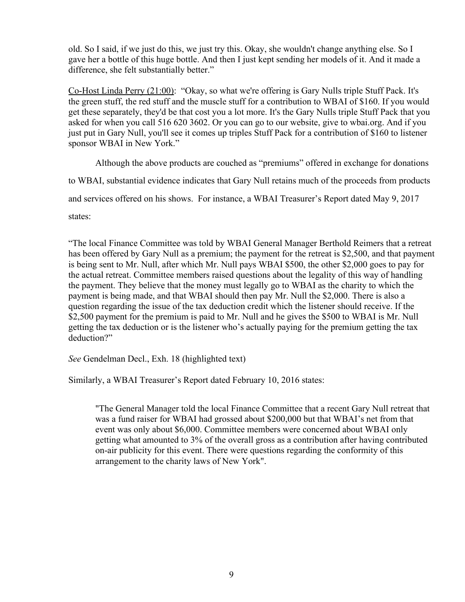old. So I said, if we just do this, we just try this. Okay, she wouldn't change anything else. So I gave her a bottle of this huge bottle. And then I just kept sending her models of it. And it made a difference, she felt substantially better."

Co-Host Linda Perry (21:00): "Okay, so what we're offering is Gary Nulls triple Stuff Pack. It's the green stuff, the red stuff and the muscle stuff for a contribution to WBAI of \$160. If you would get these separately, they'd be that cost you a lot more. It's the Gary Nulls triple Stuff Pack that you asked for when you call 516 620 3602. Or you can go to our website, give to wbai.org. And if you just put in Gary Null, you'll see it comes up triples Stuff Pack for a contribution of \$160 to listener sponsor WBAI in New York."

Although the above products are couched as "premiums" offered in exchange for donations to WBAI, substantial evidence indicates that Gary Null retains much of the proceeds from products and services offered on his shows. For instance, a WBAI Treasurer's Report dated May 9, 2017 states:

"The local Finance Committee was told by WBAI General Manager Berthold Reimers that a retreat has been offered by Gary Null as a premium; the payment for the retreat is \$2,500, and that payment is being sent to Mr. Null, after which Mr. Null pays WBAI \$500, the other \$2,000 goes to pay for the actual retreat. Committee members raised questions about the legality of this way of handling the payment. They believe that the money must legally go to WBAI as the charity to which the payment is being made, and that WBAI should then pay Mr. Null the \$2,000. There is also a question regarding the issue of the tax deduction credit which the listener should receive. If the \$2,500 payment for the premium is paid to Mr. Null and he gives the \$500 to WBAI is Mr. Null getting the tax deduction or is the listener who's actually paying for the premium getting the tax deduction?"

*See* Gendelman Decl., Exh. 18 (highlighted text)

Similarly, a WBAI Treasurer's Report dated February 10, 2016 states:

"The General Manager told the local Finance Committee that a recent Gary Null retreat that was a fund raiser for WBAI had grossed about \$200,000 but that WBAI's net from that event was only about \$6,000. Committee members were concerned about WBAI only getting what amounted to 3% of the overall gross as a contribution after having contributed on-air publicity for this event. There were questions regarding the conformity of this arrangement to the charity laws of New York".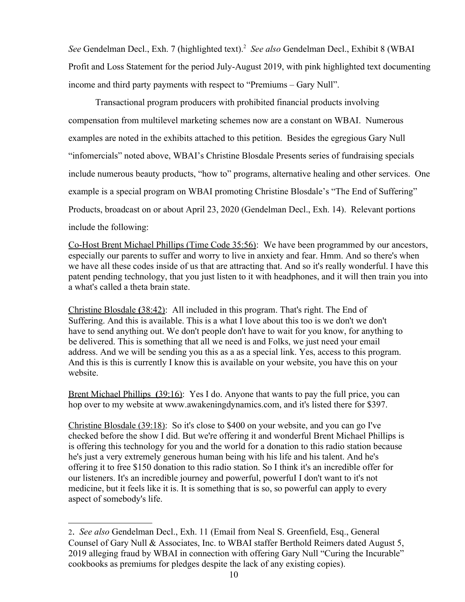See Gendelman Decl., Exh. 7 (highlighted text).<sup>[2](#page-9-0)</sup> See also Gendelman Decl., Exhibit 8 (WBAI Profit and Loss Statement for the period July-August 2019, with pink highlighted text documenting income and third party payments with respect to "Premiums – Gary Null".

Transactional program producers with prohibited financial products involving compensation from multilevel marketing schemes now are a constant on WBAI. Numerous examples are noted in the exhibits attached to this petition. Besides the egregious Gary Null "infomercials" noted above, WBAI's Christine Blosdale Presents series of fundraising specials include numerous beauty products, "how to" programs, alternative healing and other services. One example is a special program on WBAI promoting Christine Blosdale's "The End of Suffering" Products, broadcast on or about April 23, 2020 (Gendelman Decl., Exh. 14). Relevant portions include the following:

Co-Host Brent Michael Phillips (Time Code 35:56): We have been programmed by our ancestors, especially our parents to suffer and worry to live in anxiety and fear. Hmm. And so there's when we have all these codes inside of us that are attracting that. And so it's really wonderful. I have this patent pending technology, that you just listen to it with headphones, and it will then train you into a what's called a theta brain state.

 Christine Blosdale **(**38:42): All included in this program. That's right. The End of Suffering. And this is available. This is a what I love about this too is we don't we don't have to send anything out. We don't people don't have to wait for you know, for anything to be delivered. This is something that all we need is and Folks, we just need your email address. And we will be sending you this as a as a special link. Yes, access to this program. And this is this is currently I know this is available on your website, you have this on your website.

 Brent Michael Phillips **(**39:16): Yes I do. Anyone that wants to pay the full price, you can hop over to my website at www.awakeningdynamics.com, and it's listed there for \$397.

Christine Blosdale (39:18): So it's close to \$400 on your website, and you can go I've checked before the show I did. But we're offering it and wonderful Brent Michael Phillips is is offering this technology for you and the world for a donation to this radio station because he's just a very extremely generous human being with his life and his talent. And he's offering it to free \$150 donation to this radio station. So I think it's an incredible offer for our listeners. It's an incredible journey and powerful, powerfuI I don't want to it's not medicine, but it feels like it is. It is something that is so, so powerful can apply to every aspect of somebody's life.

<span id="page-9-0"></span><sup>2</sup>. *See also* Gendelman Decl., Exh. 11 (Email from Neal S. Greenfield, Esq., General Counsel of Gary Null & Associates, Inc. to WBAI staffer Berthold Reimers dated August 5, 2019 alleging fraud by WBAI in connection with offering Gary Null "Curing the Incurable" cookbooks as premiums for pledges despite the lack of any existing copies).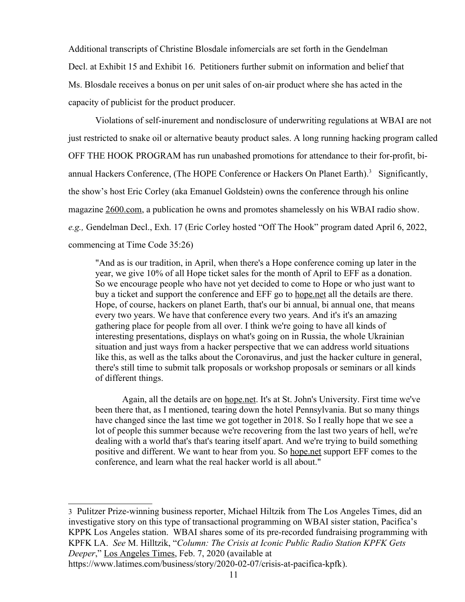Additional transcripts of Christine Blosdale infomercials are set forth in the Gendelman Decl. at Exhibit 15 and Exhibit 16. Petitioners further submit on information and belief that Ms. Blosdale receives a bonus on per unit sales of on-air product where she has acted in the capacity of publicist for the product producer.

Violations of self-inurement and nondisclosure of underwriting regulations at WBAI are not just restricted to snake oil or alternative beauty product sales. A long running hacking program called OFF THE HOOK PROGRAM has run unabashed promotions for attendance to their for-profit, bi-annual Hackers Conference, (The HOPE Conference or Hackers On Planet Earth).<sup>[3](#page-10-0)</sup> Significantly, the show's host Eric Corley (aka Emanuel Goldstein) owns the conference through his online magazine [2600.com,](http://2600.com/) a publication he owns and promotes shamelessly on his WBAI radio show. *e.g.,* Gendelman Decl., Exh. 17 (Eric Corley hosted "Off The Hook" program dated April 6, 2022, commencing at Time Code 35:26)

"And as is our tradition, in April, when there's a Hope conference coming up later in the year, we give 10% of all Hope ticket sales for the month of April to EFF as a donation. So we encourage people who have not yet decided to come to Hope or who just want to buy a ticket and support the conference and EFF go to [hope.net](http://hope.net/) all the details are there. Hope, of course, hackers on planet Earth, that's our bi annual, bi annual one, that means every two years. We have that conference every two years. And it's it's an amazing gathering place for people from all over. I think we're going to have all kinds of interesting presentations, displays on what's going on in Russia, the whole Ukrainian situation and just ways from a hacker perspective that we can address world situations like this, as well as the talks about the Coronavirus, and just the hacker culture in general, there's still time to submit talk proposals or workshop proposals or seminars or all kinds of different things.

Again, all the details are on [hope.net.](http://hope.net/) It's at St. John's University. First time we've been there that, as I mentioned, tearing down the hotel Pennsylvania. But so many things have changed since the last time we got together in 2018. So I really hope that we see a lot of people this summer because we're recovering from the last two years of hell, we're dealing with a world that's that's tearing itself apart. And we're trying to build something positive and different. We want to hear from you. So [hope.net](http://hope.net/) support EFF comes to the conference, and learn what the real hacker world is all about."

<span id="page-10-0"></span>3 Pulitzer Prize-winning business reporter, Michael Hiltzik from The Los Angeles Times, did an investigative story on this type of transactional programming on WBAI sister station, Pacifica's KPPK Los Angeles station. WBAI shares some of its pre-recorded fundraising programming with KPFK LA. *See* M. Hilltzik, "*Column: The Crisis at Iconic Public Radio Station KPFK Gets Deeper*," Los Angeles Times, Feb. 7, 2020 (available at

[https://www.latimes.com/business/story/2020-02-07/crisis-at-pacifica-kpfk\)](https://www.latimes.com/business/story/2020-02-07/crisis-at-pacifica-kpfk).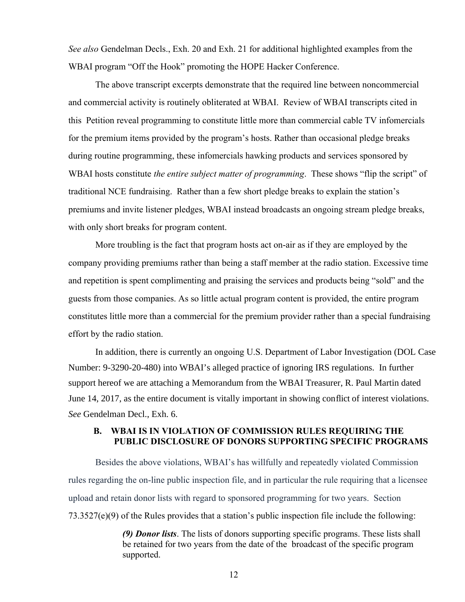*See also* Gendelman Decls., Exh. 20 and Exh. 21 for additional highlighted examples from the WBAI program "Off the Hook" promoting the HOPE Hacker Conference.

The above transcript excerpts demonstrate that the required line between noncommercial and commercial activity is routinely obliterated at WBAI. Review of WBAI transcripts cited in this Petition reveal programming to constitute little more than commercial cable TV infomercials for the premium items provided by the program's hosts. Rather than occasional pledge breaks during routine programming, these infomercials hawking products and services sponsored by WBAI hosts constitute *the entire subject matter of programming*. These shows "flip the script" of traditional NCE fundraising. Rather than a few short pledge breaks to explain the station's premiums and invite listener pledges, WBAI instead broadcasts an ongoing stream pledge breaks, with only short breaks for program content.

More troubling is the fact that program hosts act on-air as if they are employed by the company providing premiums rather than being a staff member at the radio station. Excessive time and repetition is spent complimenting and praising the services and products being "sold" and the guests from those companies. As so little actual program content is provided, the entire program constitutes little more than a commercial for the premium provider rather than a special fundraising effort by the radio station.

In addition, there is currently an ongoing U.S. Department of Labor Investigation (DOL Case Number: 9-3290-20-480) into WBAI's alleged practice of ignoring IRS regulations. In further support hereof we are attaching a Memorandum from the WBAI Treasurer, R. Paul Martin dated June 14, 2017, as the entire document is vitally important in showing conflict of interest violations. *See* Gendelman Decl., Exh. 6.

### **B. WBAI IS IN VIOLATION OF COMMISSION RULES REQUIRING THE PUBLIC DISCLOSURE OF DONORS SUPPORTING SPECIFIC PROGRAMS**

Besides the above violations, WBAI's has willfully and repeatedly violated Commission rules regarding the on-line public inspection file, and in particular the rule requiring that a licensee upload and retain donor lists with regard to sponsored programming for two years. Section 73.3527(e)(9) of the Rules provides that a station's public inspection file include the following:

> *(9) Donor lists*. The lists of donors supporting specific programs. These lists shall be retained for two years from the date of the broadcast of the specific program supported.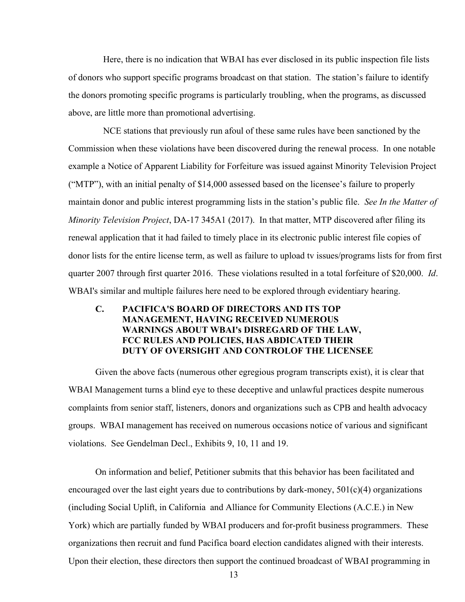Here, there is no indication that WBAI has ever disclosed in its public inspection file lists of donors who support specific programs broadcast on that station. The station's failure to identify the donors promoting specific programs is particularly troubling, when the programs, as discussed above, are little more than promotional advertising.

NCE stations that previously run afoul of these same rules have been sanctioned by the Commission when these violations have been discovered during the renewal process. In one notable example a Notice of Apparent Liability for Forfeiture was issued against Minority Television Project ("MTP"), with an initial penalty of \$14,000 assessed based on the licensee's failure to properly maintain donor and public interest programming lists in the station's public file. *See In the Matter of Minority Television Project*, DA-17 345A1 (2017). In that matter, MTP discovered after filing its renewal application that it had failed to timely place in its electronic public interest file copies of donor lists for the entire license term, as well as failure to upload tv issues/programs lists for from first quarter 2007 through first quarter 2016. These violations resulted in a total forfeiture of \$20,000. *Id*. WBAI's similar and multiple failures here need to be explored through evidentiary hearing.

# **C. PACIFICA'S BOARD OF DIRECTORS AND ITS TOP MANAGEMENT, HAVING RECEIVED NUMEROUS WARNINGS ABOUT WBAI's DISREGARD OF THE LAW, FCC RULES AND POLICIES, HAS ABDICATED THEIR DUTY OF OVERSIGHT AND CONTROLOF THE LICENSEE**

Given the above facts (numerous other egregious program transcripts exist), it is clear that WBAI Management turns a blind eye to these deceptive and unlawful practices despite numerous complaints from senior staff, listeners, donors and organizations such as CPB and health advocacy groups. WBAI management has received on numerous occasions notice of various and significant violations. See Gendelman Decl., Exhibits 9, 10, 11 and 19.

On information and belief, Petitioner submits that this behavior has been facilitated and encouraged over the last eight years due to contributions by dark-money,  $501(c)(4)$  organizations (including Social Uplift, in California and Alliance for Community Elections (A.C.E.) in New York) which are partially funded by WBAI producers and for-profit business programmers. These organizations then recruit and fund Pacifica board election candidates aligned with their interests. Upon their election, these directors then support the continued broadcast of WBAI programming in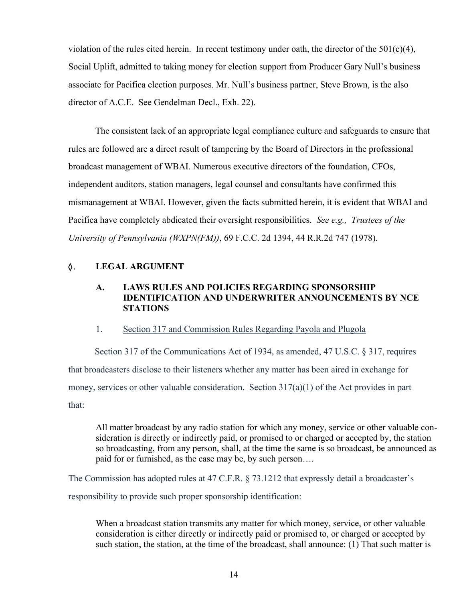violation of the rules cited herein. In recent testimony under oath, the director of the  $501(c)(4)$ , Social Uplift, admitted to taking money for election support from Producer Gary Null's business associate for Pacifica election purposes. Mr. Null's business partner, Steve Brown, is the also director of A.C.E. See Gendelman Decl., Exh. 22).

The consistent lack of an appropriate legal compliance culture and safeguards to ensure that rules are followed are a direct result of tampering by the Board of Directors in the professional broadcast management of WBAI. Numerous executive directors of the foundation, CFOs, independent auditors, station managers, legal counsel and consultants have confirmed this mismanagement at WBAI. However, given the facts submitted herein, it is evident that WBAI and Pacifica have completely abdicated their oversight responsibilities. *See e.g., Trustees of the University of Pennsylvania (WXPN(FM))*, 69 F.C.C. 2d 1394, 44 R.R.2d 747 (1978).

# $\lozenge$ . **LEGAL ARGUMENT**

# **A. LAWS RULES AND POLICIES REGARDING SPONSORSHIP IDENTIFICATION AND UNDERWRITER ANNOUNCEMENTS BY NCE STATIONS**

#### 1. Section 317 and Commission Rules Regarding Payola and Plugola

Section 317 of the Communications Act of 1934, as amended, 47 U.S.C. § 317, requires that broadcasters disclose to their listeners whether any matter has been aired in exchange for money, services or other valuable consideration. Section 317(a)(1) of the Act provides in part that:

All matter broadcast by any radio station for which any money, service or other valuable consideration is directly or indirectly paid, or promised to or charged or accepted by, the station so broadcasting, from any person, shall, at the time the same is so broadcast, be announced as paid for or furnished, as the case may be, by such person….

The Commission has adopted rules at 47 C.F.R. § 73.1212 that expressly detail a broadcaster's responsibility to provide such proper sponsorship identification:

When a broadcast station transmits any matter for which money, service, or other valuable consideration is either directly or indirectly paid or promised to, or charged or accepted by such station, the station, at the time of the broadcast, shall announce: (1) That such matter is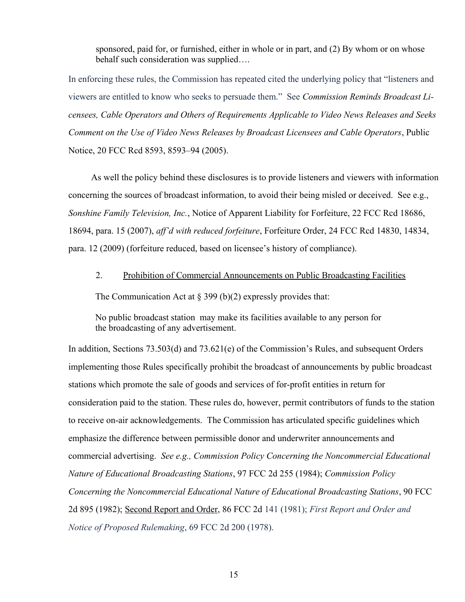sponsored, paid for, or furnished, either in whole or in part, and (2) By whom or on whose behalf such consideration was supplied….

In enforcing these rules, the Commission has repeated cited the underlying policy that "listeners and viewers are entitled to know who seeks to persuade them." See *Commission Reminds Broadcast Licensees, Cable Operators and Others of Requirements Applicable to Video News Releases and Seeks Comment on the Use of Video News Releases by Broadcast Licensees and Cable Operators*, Public Notice, 20 FCC Rcd 8593, 8593–94 (2005).

 As well the policy behind these disclosures is to provide listeners and viewers with information concerning the sources of broadcast information, to avoid their being misled or deceived. See e.g., *Sonshine Family Television, Inc.*, Notice of Apparent Liability for Forfeiture, 22 FCC Rcd 18686, 18694, para. 15 (2007), *aff'd with reduced forfeiture*, Forfeiture Order, 24 FCC Rcd 14830, 14834, para. 12 (2009) (forfeiture reduced, based on licensee's history of compliance).

#### 2. Prohibition of Commercial Announcements on Public Broadcasting Facilities

The Communication Act at  $\S 399$  (b)(2) expressly provides that:

No public broadcast station may make its facilities available to any person for the [broadcasting](https://www.law.cornell.edu/definitions/uscode.php?width=840&height=800&iframe=true&def_id=47-USC-246311809-894280727&term_occur=999&term_src=title:47:chapter:5:subchapter:III:part:IV:subpart:e:section:399b) of any advertisement.

In addition, Sections 73.503(d) and 73.621(e) of the Commission's Rules, and subsequent Orders implementing those Rules specifically prohibit the broadcast of announcements by public broadcast stations which promote the sale of goods and services of for-profit entities in return for consideration paid to the station. These rules do, however, permit contributors of funds to the station to receive on-air acknowledgements. The Commission has articulated specific guidelines which emphasize the difference between permissible donor and underwriter announcements and commercial advertising. *See e.g., Commission Policy Concerning the Noncommercial Educational Nature of Educational Broadcasting Stations*, 97 FCC 2d 255 (1984); *Commission Policy Concerning the Noncommercial Educational Nature of Educational Broadcasting Stations*, 90 FCC 2d 895 (1982); [Second Report and Order,](https://docs.fcc.gov/public/attachments/FCC-81-204A1.pdf) 86 FCC 2d 141 (1981); *First Report and Order and Notice of Proposed Rulemaking*, 69 FCC 2d 200 (1978).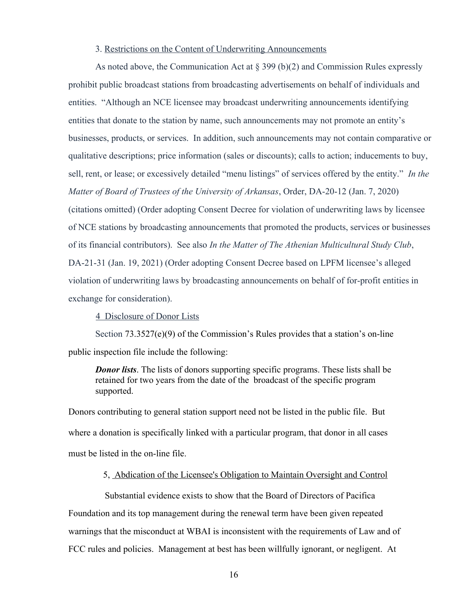#### 3. Restrictions on the Content of Underwriting Announcements

As noted above, the Communication Act at § 399 (b)(2) and Commission Rules expressly prohibit public broadcast stations from broadcasting advertisements on behalf of individuals and entities. "Although an NCE licensee may broadcast underwriting announcements identifying entities that donate to the station by name, such announcements may not promote an entity's businesses, products, or services. In addition, such announcements may not contain comparative or qualitative descriptions; price information (sales or discounts); calls to action; inducements to buy, sell, rent, or lease; or excessively detailed "menu listings" of services offered by the entity." *In the Matter of Board of Trustees of the University of Arkansas*, Order, DA-20-12 (Jan. 7, 2020) (citations omitted) (Order adopting Consent Decree for violation of underwriting laws by licensee of NCE stations by broadcasting announcements that promoted the products, services or businesses of its financial contributors). See also *In the Matter of The Athenian Multicultural Study Club*, DA-21-31 (Jan. 19, 2021) (Order adopting Consent Decree based on LPFM licensee's alleged violation of underwriting laws by broadcasting announcements on behalf of for-profit entities in exchange for consideration).

4 Disclosure of Donor Lists

Section 73.3527(e)(9) of the Commission's Rules provides that a station's on-line public inspection file include the following:

*Donor lists*. The lists of donors supporting specific programs. These lists shall be retained for two years from the date of the broadcast of the specific program supported.

Donors contributing to general station support need not be listed in the public file. But where a donation is specifically linked with a particular program, that donor in all cases must be listed in the on-line file.

### 5, Abdication of the Licensee's Obligation to Maintain Oversight and Control

Substantial evidence exists to show that the Board of Directors of Pacifica Foundation and its top management during the renewal term have been given repeated warnings that the misconduct at WBAI is inconsistent with the requirements of Law and of FCC rules and policies. Management at best has been willfully ignorant, or negligent. At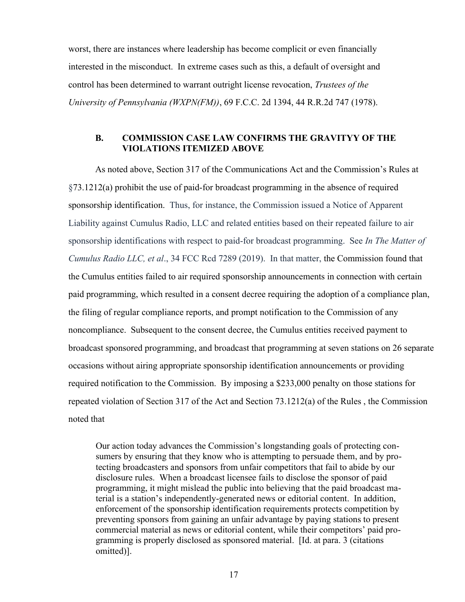worst, there are instances where leadership has become complicit or even financially interested in the misconduct. In extreme cases such as this, a default of oversight and control has been determined to warrant outright license revocation, *Trustees of the University of Pennsylvania (WXPN(FM))*, 69 F.C.C. 2d 1394, 44 R.R.2d 747 (1978).

### **B. COMMISSION CASE LAW CONFIRMS THE GRAVITYY OF THE VIOLATIONS ITEMIZED ABOVE**

As noted above, Section 317 of the Communications Act and the Commission's Rules at §73.1212(a) prohibit the use of paid-for broadcast programming in the absence of required sponsorship identification. Thus, for instance, the Commission issued a Notice of Apparent Liability against Cumulus Radio, LLC and related entities based on their repeated failure to air sponsorship identifications with respect to paid-for broadcast programming. See *In The Matter of Cumulus Radio LLC, et al*., 34 FCC Rcd 7289 (2019). In that matter, the Commission found that the Cumulus entities failed to air required sponsorship announcements in connection with certain paid programming, which resulted in a consent decree requiring the adoption of a compliance plan, the filing of regular compliance reports, and prompt notification to the Commission of any noncompliance. Subsequent to the consent decree, the Cumulus entities received payment to broadcast sponsored programming, and broadcast that programming at seven stations on 26 separate occasions without airing appropriate sponsorship identification announcements or providing required notification to the Commission. By imposing a \$233,000 penalty on those stations for repeated violation of Section 317 of the Act and Section 73.1212(a) of the Rules , the Commission noted that

Our action today advances the Commission's longstanding goals of protecting consumers by ensuring that they know who is attempting to persuade them, and by protecting broadcasters and sponsors from unfair competitors that fail to abide by our disclosure rules. When a broadcast licensee fails to disclose the sponsor of paid programming, it might mislead the public into believing that the paid broadcast material is a station's independently-generated news or editorial content. In addition, enforcement of the sponsorship identification requirements protects competition by preventing sponsors from gaining an unfair advantage by paying stations to present commercial material as news or editorial content, while their competitors' paid programming is properly disclosed as sponsored material. [Id. at para. 3 (citations omitted)].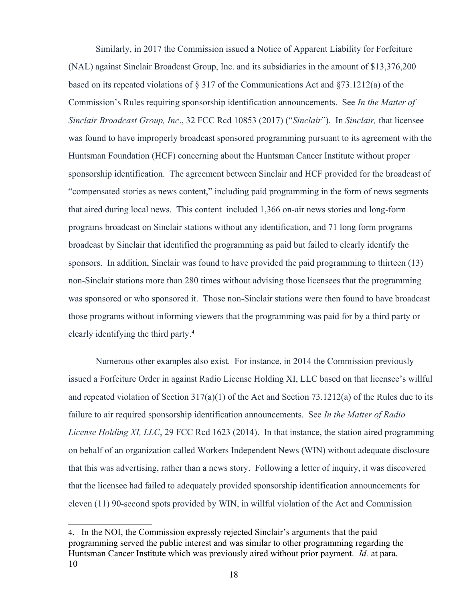Similarly, in 2017 the Commission issued a Notice of Apparent Liability for Forfeiture (NAL) against Sinclair Broadcast Group, Inc. and its subsidiaries in the amount of \$13,376,200 based on its repeated violations of § 317 of the Communications Act and §73.1212(a) of the Commission's Rules requiring sponsorship identification announcements. See *In the Matter of Sinclair Broadcast Group, Inc*., 32 FCC Rcd 10853 (2017) ("*Sinclair*"). In *Sinclair,* that licensee was found to have improperly broadcast sponsored programming pursuant to its agreement with the Huntsman Foundation (HCF) concerning about the Huntsman Cancer Institute without proper sponsorship identification. The agreement between Sinclair and HCF provided for the broadcast of "compensated stories as news content," including paid programming in the form of news segments that aired during local news. This content included 1,366 on-air news stories and long-form programs broadcast on Sinclair stations without any identification, and 71 long form programs broadcast by Sinclair that identified the programming as paid but failed to clearly identify the sponsors. In addition, Sinclair was found to have provided the paid programming to thirteen (13) non-Sinclair stations more than 280 times without advising those licensees that the programming was sponsored or who sponsored it. Those non-Sinclair stations were then found to have broadcast those programs without informing viewers that the programming was paid for by a third party or clearly identifying the third party.<sup>[4](#page-17-0)</sup>

Numerous other examples also exist. For instance, in 2014 the Commission previously issued a Forfeiture Order in against Radio License Holding XI, LLC based on that licensee's willful and repeated violation of Section 317(a)(1) of the Act and Section 73.1212(a) of the Rules due to its failure to air required sponsorship identification announcements. See *In the Matter of Radio License Holding XI, LLC*, 29 FCC Rcd 1623 (2014). In that instance, the station aired programming on behalf of an organization called Workers Independent News (WIN) without adequate disclosure that this was advertising, rather than a news story. Following a letter of inquiry, it was discovered that the licensee had failed to adequately provided sponsorship identification announcements for eleven (11) 90-second spots provided by WIN, in willful violation of the Act and Commission

<span id="page-17-0"></span><sup>4</sup>. In the NOI, the Commission expressly rejected Sinclair's arguments that the paid programming served the public interest and was similar to other programming regarding the Huntsman Cancer Institute which was previously aired without prior payment. *Id.* at para. 10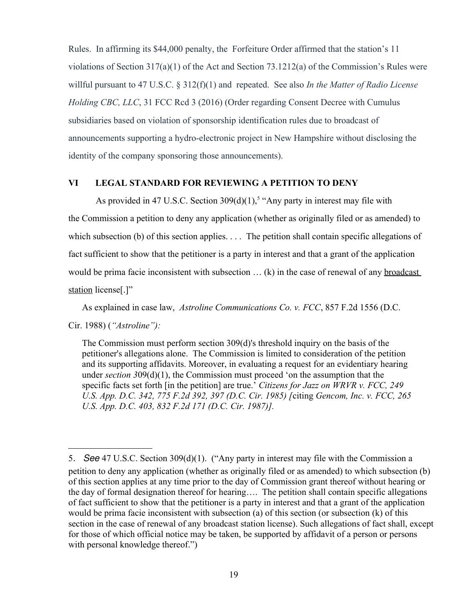Rules. In affirming its \$44,000 penalty, the Forfeiture Order affirmed that the station's 11 violations of Section 317(a)(1) of the Act and Section 73.1212(a) of the Commission's Rules were willful pursuant to 47 U.S.C. § 312(f)(1) and repeated. See also *In the Matter of Radio License Holding CBC, LLC*, 31 FCC Rcd 3 (2016) (Order regarding Consent Decree with Cumulus subsidiaries based on violation of sponsorship identification rules due to broadcast of announcements supporting a hydro-electronic project in New Hampshire without disclosing the identity of the company sponsoring those announcements).

### **VI LEGAL STANDARD FOR REVIEWING A PETITION TO DENY**

As provided in 47 U.S.C. Section  $309(d)(1)$ ,<sup>[5](#page-18-0)</sup> "Any party in interest may file with the Commission a petition to deny any application (whether as originally filed or as amended) to which subsection (b) of this section applies. . . . The petition shall contain specific allegations of fact sufficient to show that the petitioner is a party in interest and that a grant of the application would be prima facie inconsistent with subsection ... (k) in the case of renewal of any broadcast [station](https://www.law.cornell.edu/definitions/uscode.php?width=840&height=800&iframe=true&def_id=47-USC-440191787-894280726&term_occur=999&term_src=) license<sup>[.]"</sup>

As explained in case law, *Astroline Communications Co. v. FCC*, 857 F.2d 1556 (D.C.

Cir. 1988) (*"Astroline"):*

The Commission must perform section 309(d)'s threshold inquiry on the basis of the petitioner's allegations alone. The Commission is limited to consideration of the petition and its supporting affidavits. Moreover, in evaluating a request for an evidentiary hearing under *section 3*09(d)(1), the Commission must proceed 'on the assumption that the specific facts set forth [in the petition] are true.' *Citizens for Jazz on WRVR v. FCC, 249 U.S. App. D.C. 342, 775 F.2d 392, 397 (D.C. Cir. 1985) [*citing *Gencom, Inc. v. FCC, 265 U.S. App. D.C. 403, 832 F.2d 171 (D.C. Cir. 1987)].*

<span id="page-18-0"></span><sup>5</sup>. See 47 U.S.C. Section 309(d)(1). ("Any party in interest may file with the Commission a petition to deny any application (whether as originally filed or as amended) to which subsection (b) of this section applies at any time prior to the day of Commission grant thereof without hearing or the day of formal designation thereof for hearing…. The petition shall contain specific allegations of fact sufficient to show that the petitioner is a party in interest and that a grant of the application would be prima facie inconsistent with subsection (a) of this section (or subsection (k) of this section in the case of renewal of any broadcast station license). Such allegations of fact shall, except for those of which official notice may be taken, be supported by affidavit of a person or persons with personal knowledge thereof."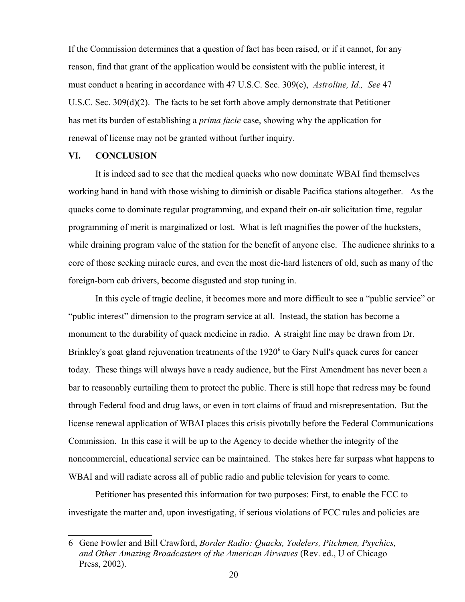If the Commission determines that a question of fact has been raised, or if it cannot, for any reason, find that grant of the application would be consistent with the public interest, it must conduct a hearing in accordance with 47 U.S.C. Sec. 309(e), *Astroline, Id., See* 47 U.S.C. Sec. 309(d)(2). The facts to be set forth above amply demonstrate that Petitioner has met its burden of establishing a *prima facie* case, showing why the application for renewal of license may not be granted without further inquiry.

### **VI. CONCLUSION**

It is indeed sad to see that the medical quacks who now dominate WBAI find themselves working hand in hand with those wishing to diminish or disable Pacifica stations altogether. As the quacks come to dominate regular programming, and expand their on-air solicitation time, regular programming of merit is marginalized or lost. What is left magnifies the power of the hucksters, while draining program value of the station for the benefit of anyone else. The audience shrinks to a core of those seeking miracle cures, and even the most die-hard listeners of old, such as many of the foreign-born cab drivers, become disgusted and stop tuning in.

In this cycle of tragic decline, it becomes more and more difficult to see a "public service" or "public interest" dimension to the program service at all. Instead, the station has become a monument to the durability of quack medicine in radio. A straight line may be drawn from Dr. Brinkley's goat gland rejuvenation treatments of the 1920<sup>[6](#page-19-0)</sup> to Gary Null's quack cures for cancer today. These things will always have a ready audience, but the First Amendment has never been a bar to reasonably curtailing them to protect the public. There is still hope that redress may be found through Federal food and drug laws, or even in tort claims of fraud and misrepresentation. But the license renewal application of WBAI places this crisis pivotally before the Federal Communications Commission. In this case it will be up to the Agency to decide whether the integrity of the noncommercial, educational service can be maintained. The stakes here far surpass what happens to WBAI and will radiate across all of public radio and public television for years to come.

Petitioner has presented this information for two purposes: First, to enable the FCC to investigate the matter and, upon investigating, if serious violations of FCC rules and policies are

<span id="page-19-0"></span><sup>6</sup> Gene Fowler and Bill Crawford, *Border Radio: Quacks, Yodelers, Pitchmen, Psychics, and Other Amazing Broadcasters of the American Airwaves* (Rev. ed., U of Chicago Press, 2002).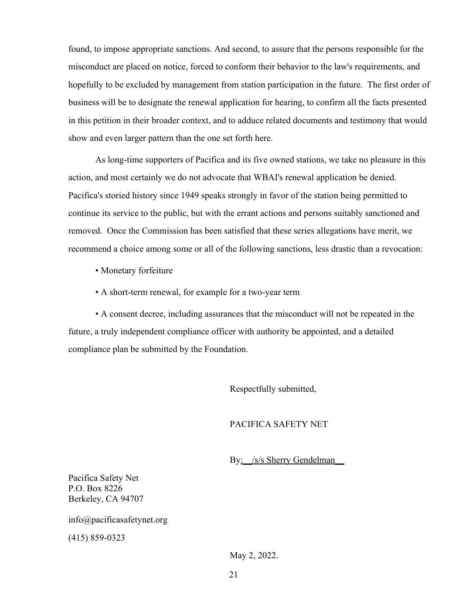found, to impose appropriate sanctions. And second, to assure that the persons responsible for the misconduct are placed on notice, forced to conform their behavior to the law's requirements, and hopefully to be excluded by management from station participation in the future. The first order of business will be to designate the renewal application for hearing, to confirm all the facts presented in this petition in their broader context, and to adduce related documents and testimony that would show and even larger pattern than the one set forth here.

As long-time supporters of Pacifica and its five owned stations, we take no pleasure in this action, and most certainly we do not advocate that WBAI's renewal application be denied. Pacifica's storied history since 1949 speaks strongly in favor of the station being permitted to continue its service to the public, but with the errant actions and persons suitably sanctioned and removed. Once the Commission has been satisfied that these series allegations have merit, we recommend a choice among some or all of the following sanctions, less drastic than a revocation:

- Monetary forfeiture
- A short-term renewal, for example for a two-year term

• A consent decree, including assurances that the misconduct will not be repeated in the future, a truly independent compliance officer with authority be appointed, and a detailed compliance plan be submitted by the Foundation.

Respectfully submitted,

# PACIFICA SAFETY NET

By: /s/s Sherry Gendelman

Pacifica Safety Net P.O. Box 8226 Berkeley, CA 94707

info@pacificasafetynet.org

(415) 859-0323